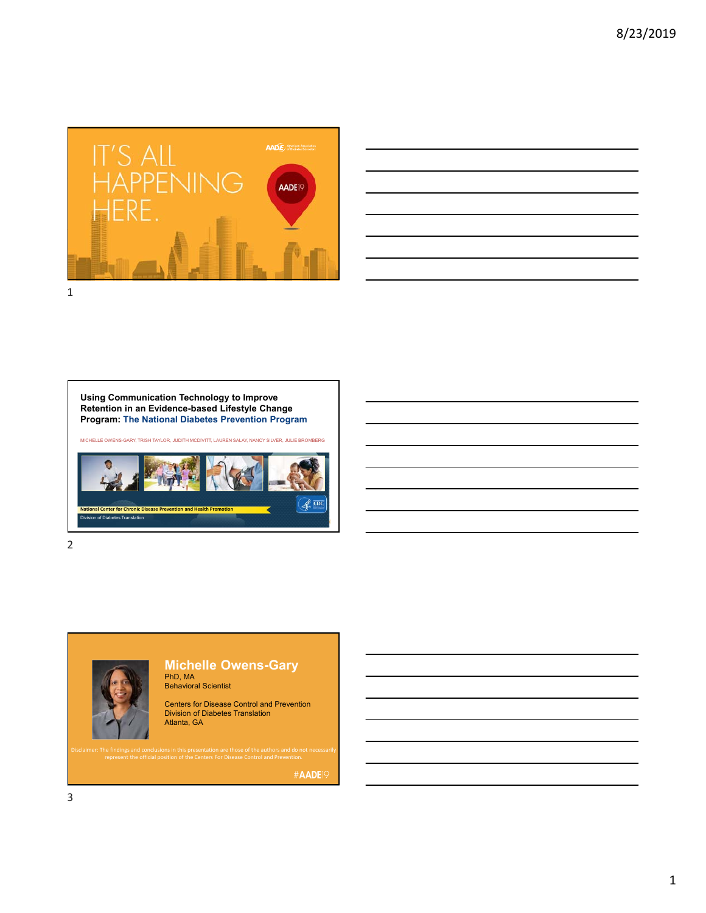



**Using Communication Technology to Improve Retention in an Evidence-based Lifestyle Change Program: The National Diabetes Prevention Program**

MICHELLE OWENS-GARY, TRISH TAYLOR, JUDITH MCDIVITT, LAUREN SALAY, NANCY SILVER, JULIE BROMBERG



2



## **Michelle Owens-Gary** PhD, MA Behavioral Scientist

Centers for Disease Control and Prevention Division of Diabetes Translation Atlanta, GA

#AADE<sup>19</sup>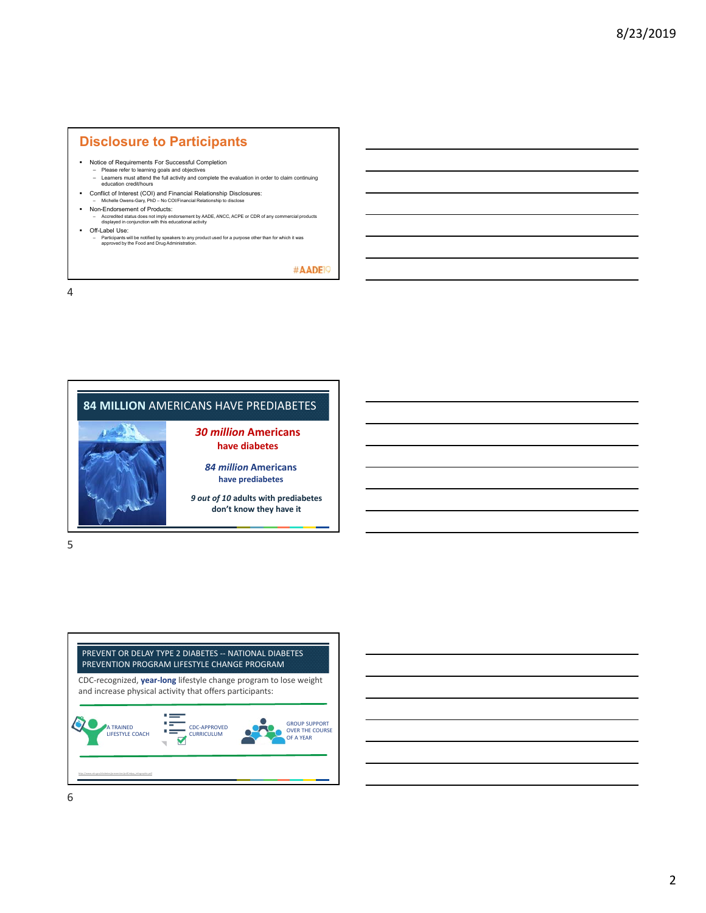## **Disclosure to Participants**

- Notice of Requirements For Successful Completion
	- Please refer to learning goals and objectives Learners must attend the full activity and complete the evaluation in order to claim continuing education credit/hours
- Conflict of Interest (COI) and Financial Relationship Disclosures:
- Michelle Owens-Gary, PhD No COI/Financial Relationship to disclose
- Non-Endorsement of Products:<br>
 Accredited status does not imply endorsement by AADE, ANCC, ACPE or CDR of any commercial products<br>
displayed in conjunction with this educational activity
- Off-Label Use:
	- Participants will be notified by speakers to any product used for a purpose other than for which it was approved by the Food and Drug Administration.

#AADE<sup>19</sup>

4

## **84 MILLION** AMERICANS HAVE PREDIABETES



# **have diabetes**

*84 million* **Americans have prediabetes**

*9 out of 10* **adults with prediabetes don't know they have it** 

5

## PREVENT OR DELAY TYPE 2 DIABETES ‐‐ NATIONAL DIABETES PREVENTION PROGRAM LIFESTYLE CHANGE PROGRAM

CDC‐recognized, **year‐long** lifestyle change program to lose weight and increase physical activity that offers participants:

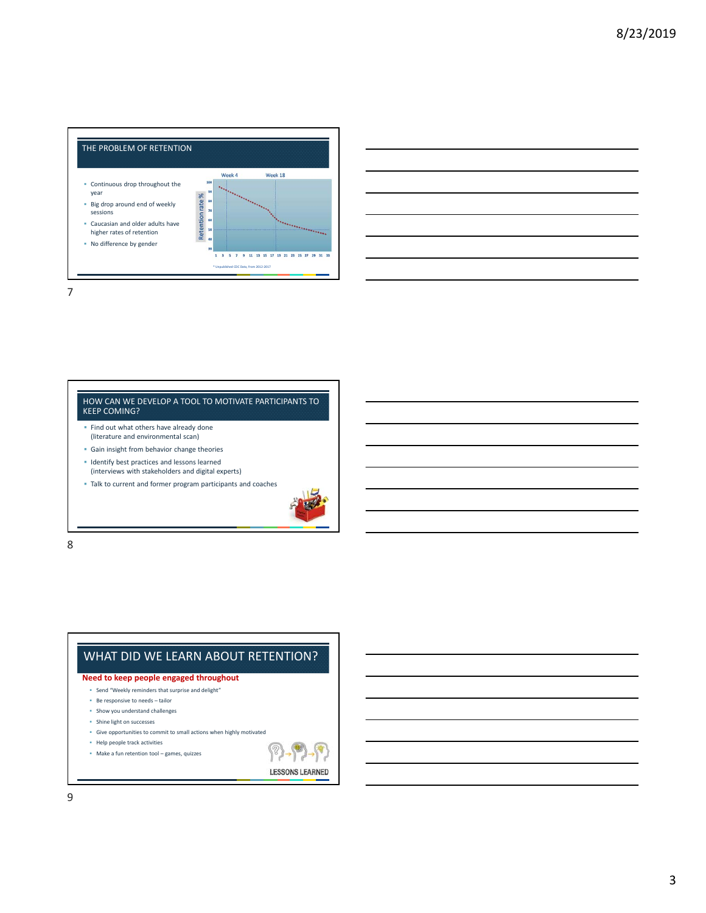

### HOW CAN WE DEVELOP A TOOL TO MOTIVATE PARTICIPANTS TO KEEP COMING?

- **Find out what others have already done** (literature and environmental scan)
- Gain insight from behavior change theories
- **In Identify best practices and lessons learned** (interviews with stakeholders and digital experts)
- Talk to current and former program participants and coaches



8

## WHAT DID WE LEARN ABOUT RETENTION?

**Need to keep people engaged throughout**

- Send "Weekly reminders that surprise and delight"
- Be responsive to needs tailor
- Show you understand challenges
- Shine light on successes
- Give opportunities to commit to small actions when highly motivated
- Help people track activities
- Make a fun retention tool games, quizzes

**LESSONS LEARNED**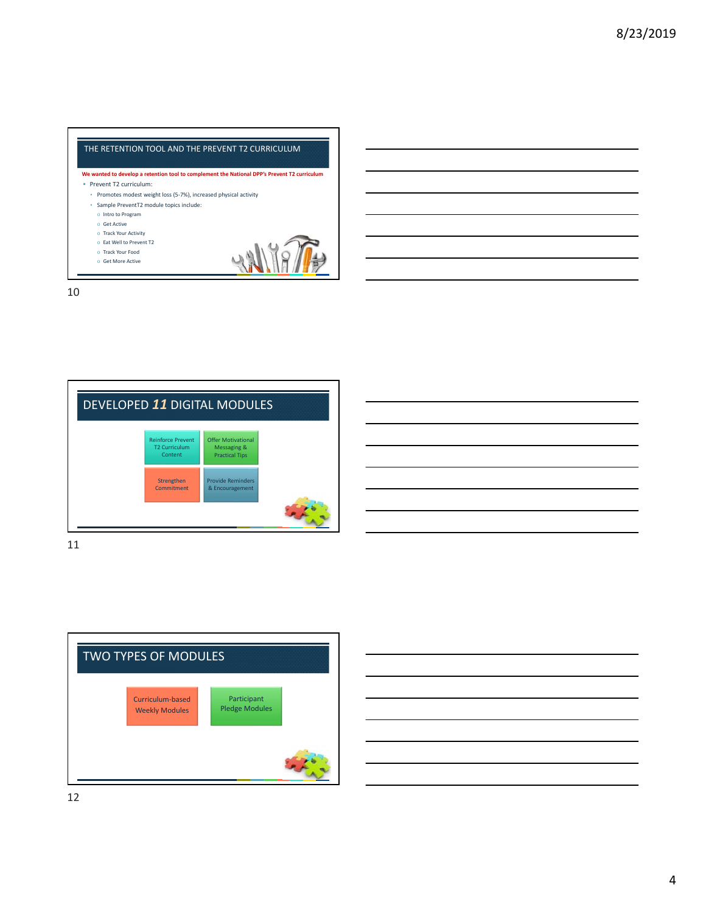





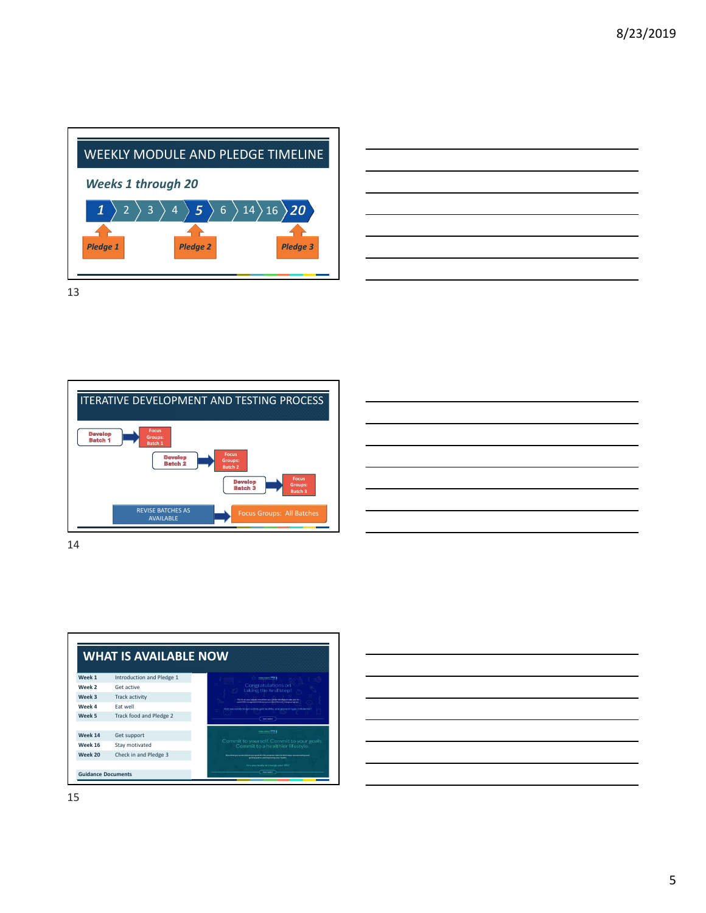





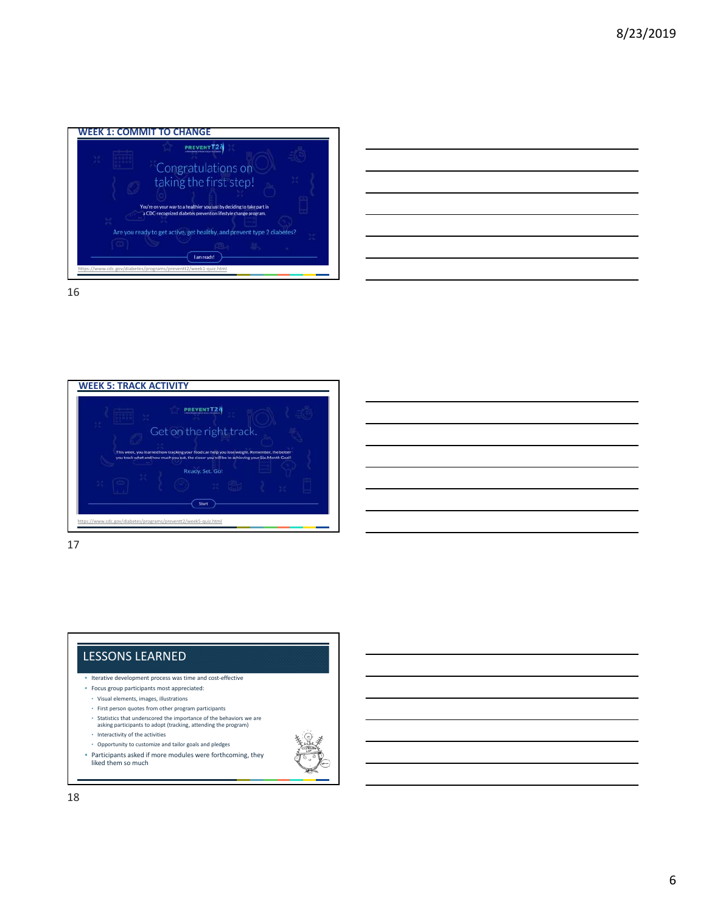



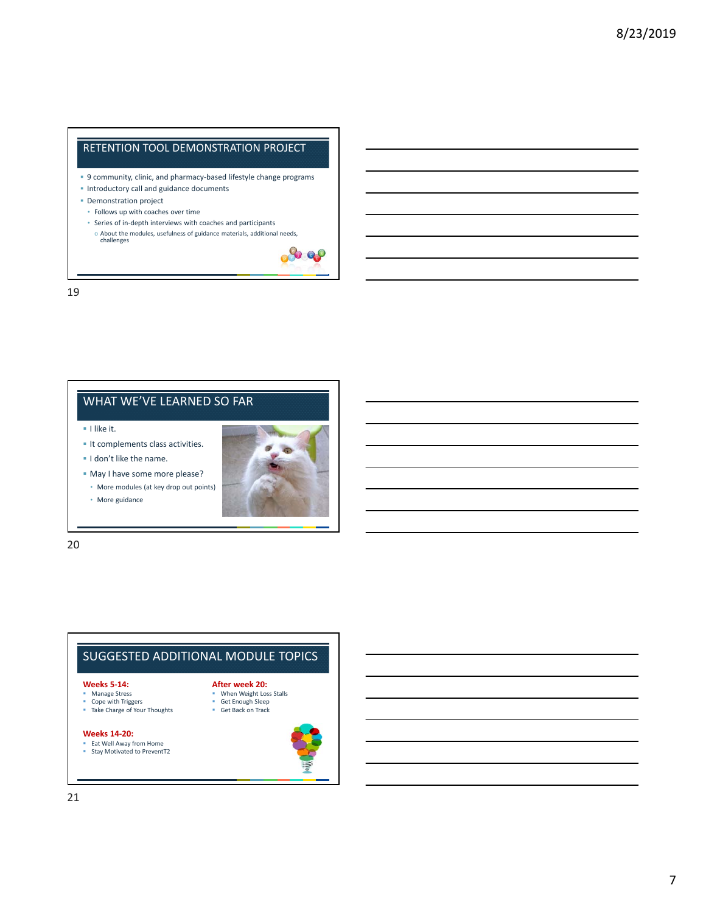## RETENTION TOOL DEMONSTRATION PROJECT

- 9 community, clinic, and pharmacy-based lifestyle change programs
- **Introductory call and guidance documents**
- **Demonstration project**
- Follows up with coaches over time
- Series of in‐depth interviews with coaches and participants
	- o About the modules, usefulness of guidance materials, additional needs, challenges



19

## WHAT WE'VE LEARNED SO FAR

**I** like it.

- It complements class activities.
- I don't like the name.
- May I have some more please?
- More modules (at key drop out points)
- More guidance



20

## SUGGESTED ADDITIONAL MODULE TOPICS

#### **Weeks 5‐14: Manage Stress**

- **When Weight Loss Stalls After week 20:**
- Get Enough Sleep
- Get Back on Track

### **Weeks 14‐20:**

Eat Well Away from Home Stay Motivated to PreventT2

Cope with Triggers Take Charge of Your Thoughts

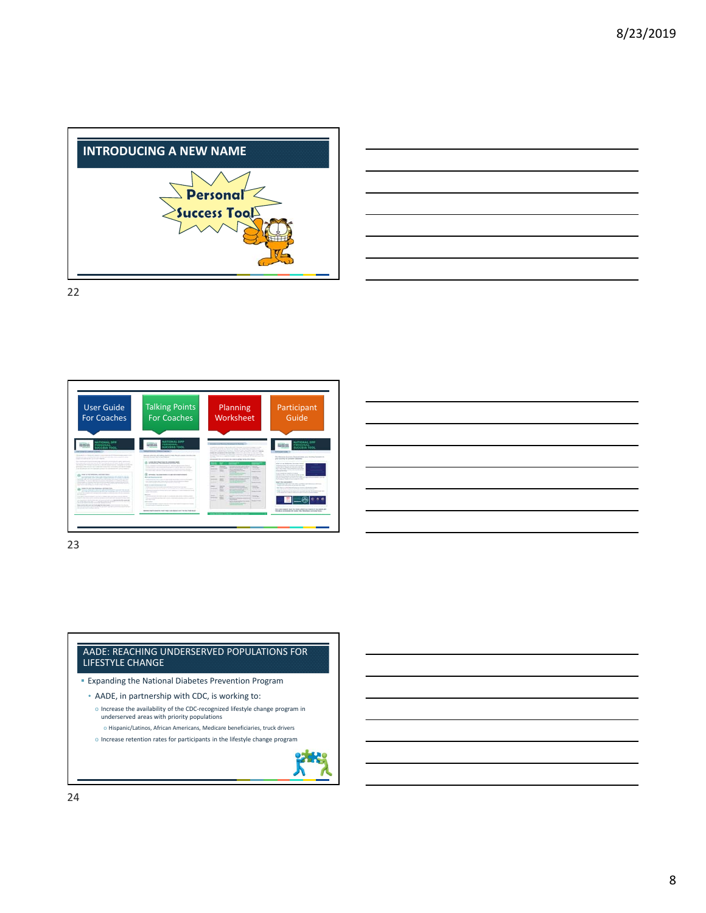





23

### AADE: REACHING UNDERSERVED POPULATIONS FOR LIFESTYLE CHANGE

- **Expanding the National Diabetes Prevention Program**
- AADE, in partnership with CDC, is working to:
	- o Increase the availability of the CDC‐recognized lifestyle change program in underserved areas with priority populations
	- o Hispanic/Latinos, African Americans, Medicare beneficiaries, truck drivers o Increase retention rates for participants in the lifestyle change program